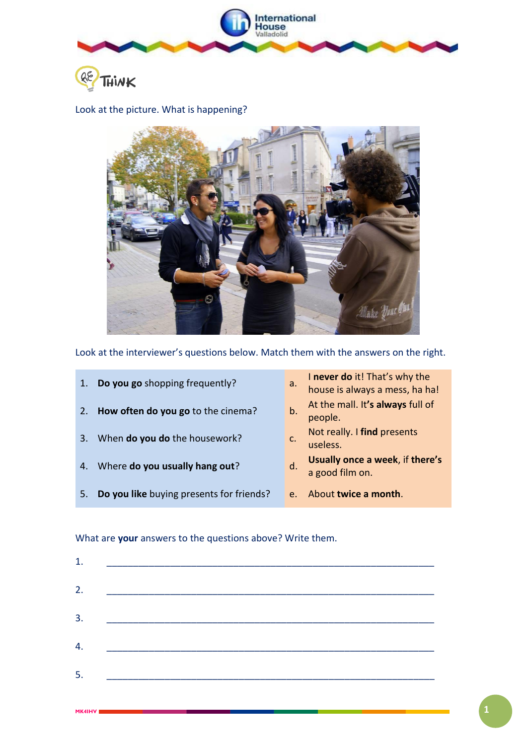

Look at the picture. What is happening?



Look at the interviewer's questions below. Match them with the answers on the right.

- 
- 3. When **do you do** the housework?
- 
- 5. **Do you like** buying presents for friends? e. About **twice a month**.

I **never do** it! That's why the house is always a mess, ha ha!

- 2. **How often do you go** to the cinema? b. At the mall. It**'s always** full of people.
	- Not really. I **find** presents useless.

4. Where **do you usually hang out**? d. **Usually once a week**, if **there's** a good film on.

What are **your** answers to the questions above? Write them.

| 1. |                                                                                                                      |  |  |
|----|----------------------------------------------------------------------------------------------------------------------|--|--|
| 2. | <u> 1980 - Andrea Albert III, martin amerikan bisa dalam personal dan personal dan personal dan personal dan per</u> |  |  |
| 3. |                                                                                                                      |  |  |
| 4. | <u> 1980 - Jan James James Barnett, fizik amerikan da</u>                                                            |  |  |
| 5. |                                                                                                                      |  |  |

**MK4IHV 1**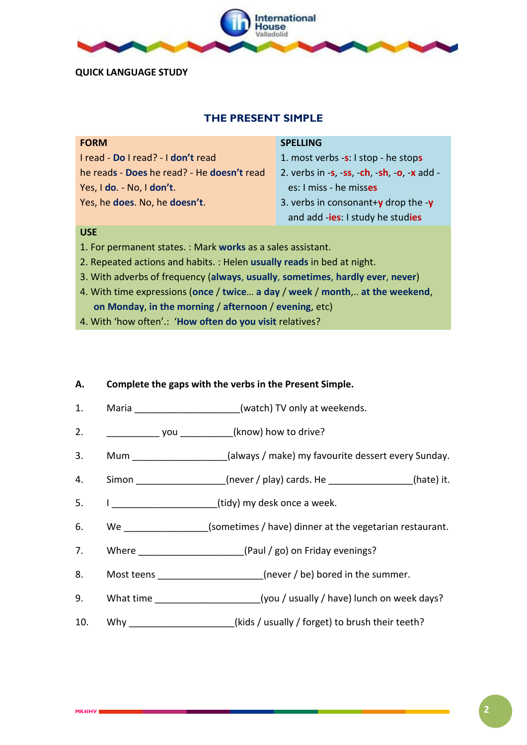

## **QUICK LANGUAGE STUDY**

# **THE PRESENT SIMPLE**

| <b>FORM</b>                                | <b>SPELLING</b>                                          |
|--------------------------------------------|----------------------------------------------------------|
| I read - Do I read? - I don't read         | 1. most verbs -s: I stop - he stops                      |
| he reads - Does he read? - He doesn't read | 2. verbs in $-s$ , $-ss$ , $ch$ , $sh$ , $o$ , $x$ add - |
| Yes, I do. - No, I don't.                  | es: I miss - he misses                                   |
| Yes, he does. No, he doesn't.              | 3. verbs in consonant + $\mathbf y$ drop the $\mathbf y$ |
|                                            | and add - <b>ies</b> : I study he studies                |
| <b>USE</b>                                 |                                                          |

### **USE**

- 1. For permanent states. : Mark **works** as a sales assistant.
- 2. Repeated actions and habits. : Helen **usually reads** in bed at night.
- 3. With adverbs of frequency (**always**, **usually**, **sometimes**, **hardly ever**, **never**)
- 4. With time expressions (**once** / **twice**… **a day** / **week** / **month**,.. **at the weekend**, **on Monday**, **in the morning** / **afternoon** / **evening**, etc)
- 4. With 'how often'.: '**How often do you visit** relatives?

# **A. Complete the gaps with the verbs in the Present Simple.**

- 1. Maria \_\_\_\_\_\_\_\_\_\_\_\_\_\_\_\_\_\_\_(watch) TV only at weekends.
- 2. \_\_\_\_\_\_\_\_\_\_ you \_\_\_\_\_\_\_\_\_\_(know) how to drive?
- 3. Mum (always / make) my favourite dessert every Sunday.
- 4. Simon \_\_\_\_\_\_\_\_\_\_\_\_\_\_\_(never / play) cards. He \_\_\_\_\_\_\_\_\_\_\_\_\_\_(hate) it.
- 5. I can also limits (tidy) my desk once a week.
- 6. We state of the sometimes / have) dinner at the vegetarian restaurant.
- 7. Where [1] Where  $(Paul / go)$  on Friday evenings?
- 8. Most teens  $(never / be)$  bored in the summer.
- 9. What time \_\_\_\_\_\_\_\_\_\_\_\_\_\_\_\_\_\_\_\_\_\_(you / usually / have) lunch on week days?
- 10. Why  $(kids / usually / forget)$  to brush their teeth?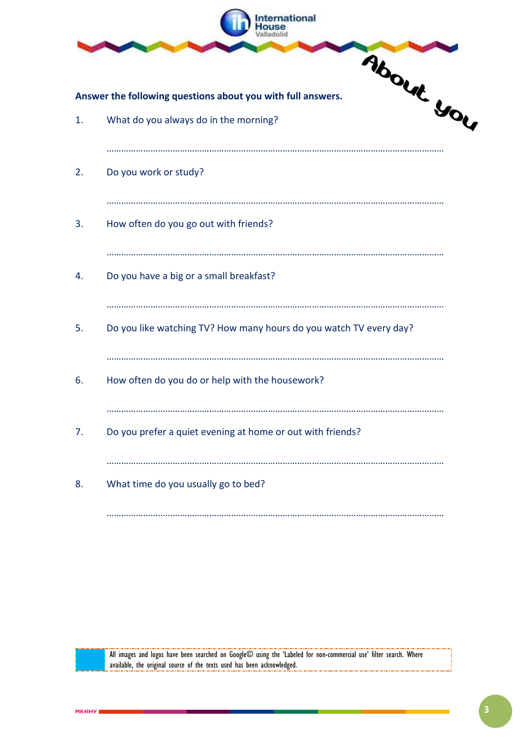| mational |                                                                                                                   |  |  |  |
|----------|-------------------------------------------------------------------------------------------------------------------|--|--|--|
| 1.       | About you<br>Answer the following questions about you with full answers.<br>What do you always do in the morning? |  |  |  |
| 2.       | Do you work or study?                                                                                             |  |  |  |
| 3.       | How often do you go out with friends?                                                                             |  |  |  |
| 4.       | Do you have a big or a small breakfast?                                                                           |  |  |  |
| 5.       | Do you like watching TV? How many hours do you watch TV every day?                                                |  |  |  |
| 6.       | How often do you do or help with the housework?                                                                   |  |  |  |
| 7.       | Do you prefer a quiet evening at home or out with friends?                                                        |  |  |  |
| 8.       | What time do you usually go to bed?                                                                               |  |  |  |

All images and logos have been searched on Google© using the 'Labeled for non-commercial use' filter search. Where available, the original source of the texts used has been acknowledged.

…………………………………………………………………………………………………………………………